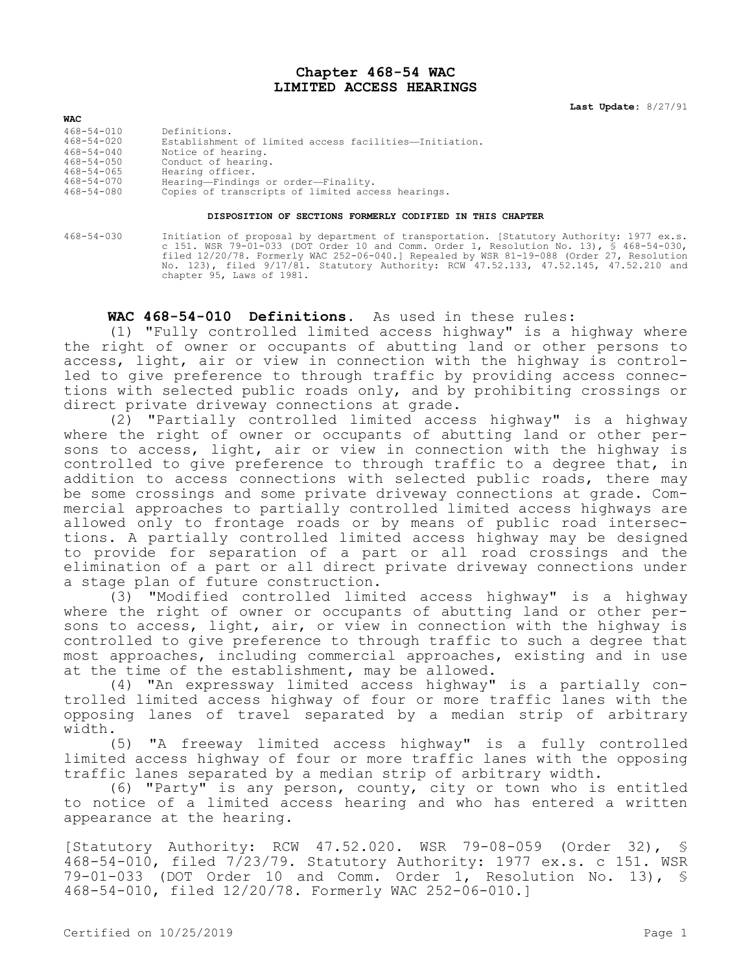## **Chapter 468-54 WAC LIMITED ACCESS HEARINGS**

**Last Update:** 8/27/91

| <b>WAC</b>       |                                                        |
|------------------|--------------------------------------------------------|
| $468 - 54 - 010$ | Definitions.                                           |
| $468 - 54 - 020$ | Establishment of limited access facilities-Initiation. |
| $468 - 54 - 040$ | Notice of hearing.                                     |
| $468 - 54 - 050$ | Conduct of hearing.                                    |
| $468 - 54 - 065$ | Hearing officer.                                       |
| $468 - 54 - 070$ | Hearing-Findings or order-Finality.                    |
| $468 - 54 - 080$ | Copies of transcripts of limited access hearings.      |

## **DISPOSITION OF SECTIONS FORMERLY CODIFIED IN THIS CHAPTER**

468-54-030 Initiation of proposal by department of transportation. [Statutory Authority: 1977 ex.s. c 151. WSR 79-01-033 (DOT Order 10 and Comm. Order 1, Resolution No. 13), § 468-54-030, filed 12/20/78. Formerly WAC 252-06-040.] Repealed by WSR 81-19-088 (Order 27, Resolution No. 123), filed 9/17/81. Statutory Authority: RCW 47.52.133, 47.52.145, 47.52.210 and chapter 95, Laws of 1981.

## **WAC 468-54-010 Definitions.** As used in these rules:

(1) "Fully controlled limited access highway" is a highway where the right of owner or occupants of abutting land or other persons to access, light, air or view in connection with the highway is controlled to give preference to through traffic by providing access connections with selected public roads only, and by prohibiting crossings or direct private driveway connections at grade.

(2) "Partially controlled limited access highway" is a highway where the right of owner or occupants of abutting land or other persons to access, light, air or view in connection with the highway is controlled to give preference to through traffic to a degree that, in addition to access connections with selected public roads, there may be some crossings and some private driveway connections at grade. Commercial approaches to partially controlled limited access highways are allowed only to frontage roads or by means of public road intersections. A partially controlled limited access highway may be designed to provide for separation of a part or all road crossings and the elimination of a part or all direct private driveway connections under a stage plan of future construction.

(3) "Modified controlled limited access highway" is a highway where the right of owner or occupants of abutting land or other persons to access, light, air, or view in connection with the highway is controlled to give preference to through traffic to such a degree that most approaches, including commercial approaches, existing and in use at the time of the establishment, may be allowed.

(4) "An expressway limited access highway" is a partially controlled limited access highway of four or more traffic lanes with the opposing lanes of travel separated by a median strip of arbitrary width.

(5) "A freeway limited access highway" is a fully controlled limited access highway of four or more traffic lanes with the opposing traffic lanes separated by a median strip of arbitrary width.

(6) "Party" is any person, county, city or town who is entitled to notice of a limited access hearing and who has entered a written appearance at the hearing.

[Statutory Authority: RCW 47.52.020. WSR 79-08-059 (Order 32), § 468-54-010, filed 7/23/79. Statutory Authority: 1977 ex.s. c 151. WSR 79-01-033 (DOT Order 10 and Comm. Order 1, Resolution No. 13), § 468-54-010, filed 12/20/78. Formerly WAC 252-06-010.]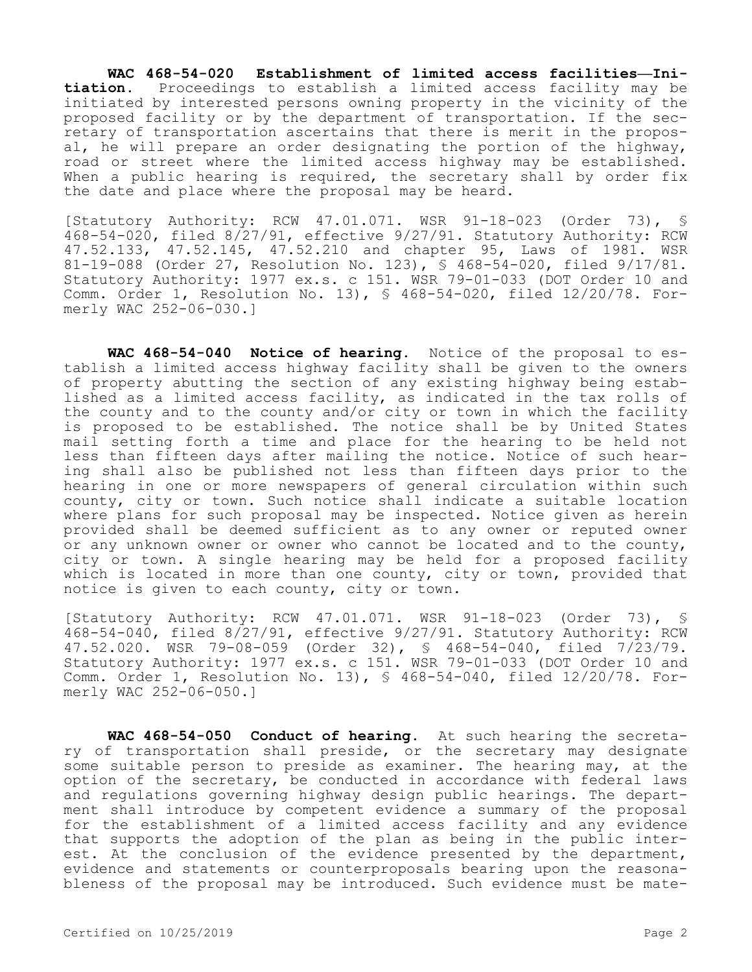**WAC 468-54-020 Establishment of limited access facilities—Initiation.** Proceedings to establish a limited access facility may be initiated by interested persons owning property in the vicinity of the proposed facility or by the department of transportation. If the secretary of transportation ascertains that there is merit in the proposal, he will prepare an order designating the portion of the highway, road or street where the limited access highway may be established. When a public hearing is required, the secretary shall by order fix the date and place where the proposal may be heard.

[Statutory Authority: RCW 47.01.071. WSR 91-18-023 (Order 73), § 468-54-020, filed 8/27/91, effective 9/27/91. Statutory Authority: RCW 47.52.133, 47.52.145, 47.52.210 and chapter 95, Laws of 1981. WSR 81-19-088 (Order 27, Resolution No. 123), § 468-54-020, filed 9/17/81. Statutory Authority: 1977 ex.s. c 151. WSR 79-01-033 (DOT Order 10 and Comm. Order 1, Resolution No. 13), § 468-54-020, filed 12/20/78. Formerly WAC 252-06-030.]

**WAC 468-54-040 Notice of hearing.** Notice of the proposal to establish a limited access highway facility shall be given to the owners of property abutting the section of any existing highway being established as a limited access facility, as indicated in the tax rolls of the county and to the county and/or city or town in which the facility is proposed to be established. The notice shall be by United States mail setting forth a time and place for the hearing to be held not less than fifteen days after mailing the notice. Notice of such hearing shall also be published not less than fifteen days prior to the hearing in one or more newspapers of general circulation within such county, city or town. Such notice shall indicate a suitable location where plans for such proposal may be inspected. Notice given as herein provided shall be deemed sufficient as to any owner or reputed owner or any unknown owner or owner who cannot be located and to the county, city or town. A single hearing may be held for a proposed facility which is located in more than one county, city or town, provided that notice is given to each county, city or town.

[Statutory Authority: RCW 47.01.071. WSR 91-18-023 (Order 73), § 468-54-040, filed 8/27/91, effective 9/27/91. Statutory Authority: RCW 47.52.020. WSR 79-08-059 (Order 32), § 468-54-040, filed 7/23/79. Statutory Authority: 1977 ex.s. c 151. WSR 79-01-033 (DOT Order 10 and Comm. Order 1, Resolution No. 13), § 468-54-040, filed 12/20/78. Formerly WAC 252-06-050.]

**WAC 468-54-050 Conduct of hearing.** At such hearing the secretary of transportation shall preside, or the secretary may designate some suitable person to preside as examiner. The hearing may, at the option of the secretary, be conducted in accordance with federal laws and regulations governing highway design public hearings. The department shall introduce by competent evidence a summary of the proposal for the establishment of a limited access facility and any evidence that supports the adoption of the plan as being in the public interest. At the conclusion of the evidence presented by the department, evidence and statements or counterproposals bearing upon the reasonableness of the proposal may be introduced. Such evidence must be mate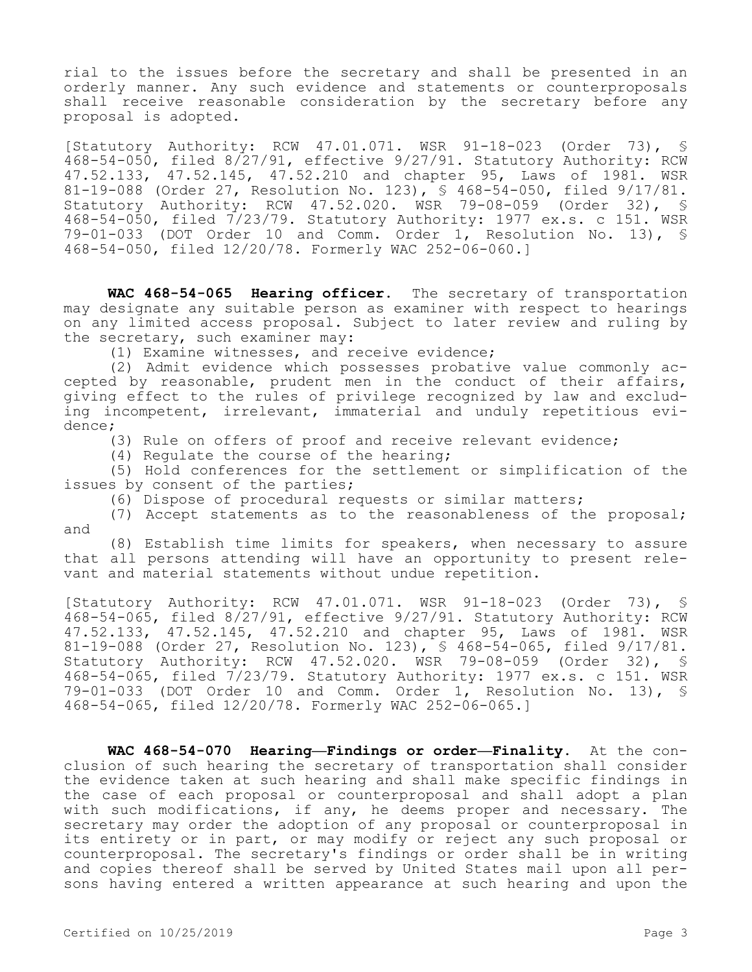rial to the issues before the secretary and shall be presented in an orderly manner. Any such evidence and statements or counterproposals shall receive reasonable consideration by the secretary before any proposal is adopted.

[Statutory Authority: RCW 47.01.071. WSR 91-18-023 (Order 73), § 468-54-050, filed 8/27/91, effective 9/27/91. Statutory Authority: RCW 47.52.133, 47.52.145, 47.52.210 and chapter 95, Laws of 1981. WSR 81-19-088 (Order 27, Resolution No. 123), § 468-54-050, filed 9/17/81. Statutory Authority: RCW 47.52.020. WSR 79-08-059 (Order 32), § 468-54-050, filed 7/23/79. Statutory Authority: 1977 ex.s. c 151. WSR 79-01-033 (DOT Order 10 and Comm. Order 1, Resolution No. 13), § 468-54-050, filed 12/20/78. Formerly WAC 252-06-060.]

**WAC 468-54-065 Hearing officer.** The secretary of transportation may designate any suitable person as examiner with respect to hearings on any limited access proposal. Subject to later review and ruling by the secretary, such examiner may:

(1) Examine witnesses, and receive evidence;

(2) Admit evidence which possesses probative value commonly accepted by reasonable, prudent men in the conduct of their affairs, giving effect to the rules of privilege recognized by law and excluding incompetent, irrelevant, immaterial and unduly repetitious evidence;

(3) Rule on offers of proof and receive relevant evidence;

(4) Regulate the course of the hearing;

(5) Hold conferences for the settlement or simplification of the issues by consent of the parties;

(6) Dispose of procedural requests or similar matters;

(7) Accept statements as to the reasonableness of the proposal; and

(8) Establish time limits for speakers, when necessary to assure that all persons attending will have an opportunity to present relevant and material statements without undue repetition.

[Statutory Authority: RCW 47.01.071. WSR 91-18-023 (Order 73), § 468-54-065, filed 8/27/91, effective 9/27/91. Statutory Authority: RCW 47.52.133, 47.52.145, 47.52.210 and chapter 95, Laws of 1981. WSR 81-19-088 (Order 27, Resolution No. 123), § 468-54-065, filed 9/17/81. Statutory Authority: RCW 47.52.020. WSR 79-08-059 (Order 32), § 468-54-065, filed 7/23/79. Statutory Authority: 1977 ex.s. c 151. WSR 79-01-033 (DOT Order 10 and Comm. Order 1, Resolution No. 13), § 468-54-065, filed 12/20/78. Formerly WAC 252-06-065.]

**WAC 468-54-070 Hearing—Findings or order—Finality.** At the conclusion of such hearing the secretary of transportation shall consider the evidence taken at such hearing and shall make specific findings in the case of each proposal or counterproposal and shall adopt a plan with such modifications, if any, he deems proper and necessary. The secretary may order the adoption of any proposal or counterproposal in its entirety or in part, or may modify or reject any such proposal or counterproposal. The secretary's findings or order shall be in writing and copies thereof shall be served by United States mail upon all persons having entered a written appearance at such hearing and upon the